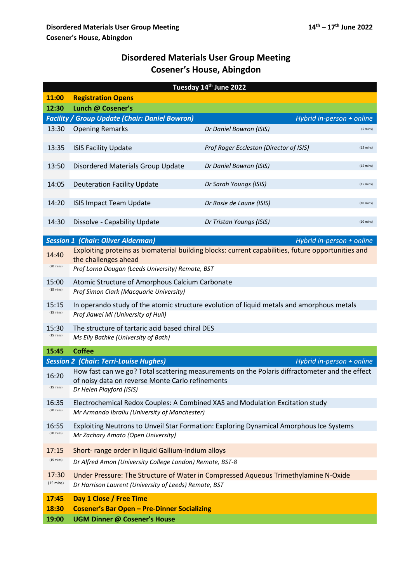## **Disordered Materials User Group Meeting Cosener's House, Abingdon**

| Tuesday 14th June 2022                                                             |                                                                                                                                                    |                                                                                         |                     |  |  |  |  |
|------------------------------------------------------------------------------------|----------------------------------------------------------------------------------------------------------------------------------------------------|-----------------------------------------------------------------------------------------|---------------------|--|--|--|--|
| 11:00                                                                              | <b>Registration Opens</b>                                                                                                                          |                                                                                         |                     |  |  |  |  |
| 12:30                                                                              | Lunch @ Cosener's                                                                                                                                  |                                                                                         |                     |  |  |  |  |
| <b>Facility / Group Update (Chair: Daniel Bowron)</b><br>Hybrid in-person + online |                                                                                                                                                    |                                                                                         |                     |  |  |  |  |
| 13:30                                                                              | <b>Opening Remarks</b>                                                                                                                             | Dr Daniel Bowron (ISIS)                                                                 | $(5 \text{ mins})$  |  |  |  |  |
| 13:35                                                                              | <b>ISIS Facility Update</b>                                                                                                                        | Prof Roger Eccleston (Director of ISIS)                                                 | $(15 \text{ mins})$ |  |  |  |  |
| 13:50                                                                              | Disordered Materials Group Update                                                                                                                  | Dr Daniel Bowron (ISIS)                                                                 | $(15 \text{ mins})$ |  |  |  |  |
| 14:05                                                                              | <b>Deuteration Facility Update</b>                                                                                                                 | Dr Sarah Youngs (ISIS)                                                                  | $(15 \text{ mins})$ |  |  |  |  |
| 14:20                                                                              | <b>ISIS Impact Team Update</b>                                                                                                                     | Dr Rosie de Laune (ISIS)                                                                | $(10 \text{ mins})$ |  |  |  |  |
| 14:30                                                                              | Dissolve - Capability Update                                                                                                                       | Dr Tristan Youngs (ISIS)                                                                | $(10 \text{ mins})$ |  |  |  |  |
|                                                                                    | <b>Session 1 (Chair: Oliver Alderman)</b>                                                                                                          | Hybrid in-person + online                                                               |                     |  |  |  |  |
|                                                                                    |                                                                                                                                                    |                                                                                         |                     |  |  |  |  |
| 14:40<br>$(20 \text{ mins})$                                                       | Exploiting proteins as biomaterial building blocks: current capabilities, future opportunities and<br>the challenges ahead                         |                                                                                         |                     |  |  |  |  |
|                                                                                    | Prof Lorna Dougan (Leeds University) Remote, BST                                                                                                   |                                                                                         |                     |  |  |  |  |
| 15:00<br>$(15 \text{ mins})$                                                       | Atomic Structure of Amorphous Calcium Carbonate<br>Prof Simon Clark (Macquarie University)                                                         |                                                                                         |                     |  |  |  |  |
| 15:15<br>$(15 \text{ mins})$                                                       | In operando study of the atomic structure evolution of liquid metals and amorphous metals<br>Prof Jiawei Mi (University of Hull)                   |                                                                                         |                     |  |  |  |  |
|                                                                                    |                                                                                                                                                    |                                                                                         |                     |  |  |  |  |
| 15:30<br>$(15 \text{ mins})$                                                       | The structure of tartaric acid based chiral DES<br>Ms Elly Bathke (University of Bath)                                                             |                                                                                         |                     |  |  |  |  |
| 15:45                                                                              | <b>Coffee</b>                                                                                                                                      |                                                                                         |                     |  |  |  |  |
|                                                                                    | <b>Session 2 (Chair: Terri-Louise Hughes)</b>                                                                                                      | Hybrid in-person + online                                                               |                     |  |  |  |  |
| 16:20                                                                              | How fast can we go? Total scattering measurements on the Polaris diffractometer and the effect<br>of noisy data on reverse Monte Carlo refinements |                                                                                         |                     |  |  |  |  |
| $(15 \text{ mins})$                                                                | Dr Helen Playford (ISIS)                                                                                                                           |                                                                                         |                     |  |  |  |  |
| 16:35                                                                              | Electrochemical Redox Couples: A Combined XAS and Modulation Excitation study                                                                      |                                                                                         |                     |  |  |  |  |
| $(20 \text{ mins})$                                                                | Mr Armando Ibraliu (University of Manchester)                                                                                                      |                                                                                         |                     |  |  |  |  |
| 16:55                                                                              |                                                                                                                                                    | Exploiting Neutrons to Unveil Star Formation: Exploring Dynamical Amorphous Ice Systems |                     |  |  |  |  |
| $(20 \text{ mins})$                                                                | Mr Zachary Amato (Open University)                                                                                                                 |                                                                                         |                     |  |  |  |  |
| 17:15                                                                              |                                                                                                                                                    | Short- range order in liquid Gallium-Indium alloys                                      |                     |  |  |  |  |
| $(15 \text{ mins})$                                                                | Dr Alfred Amon (University College London) Remote, BST-8                                                                                           |                                                                                         |                     |  |  |  |  |
| 17:30                                                                              | Under Pressure: The Structure of Water in Compressed Aqueous Trimethylamine N-Oxide                                                                |                                                                                         |                     |  |  |  |  |
| $(15 \text{ mins})$                                                                | Dr Harrison Laurent (University of Leeds) Remote, BST                                                                                              |                                                                                         |                     |  |  |  |  |
| 17:45                                                                              | Day 1 Close / Free Time                                                                                                                            |                                                                                         |                     |  |  |  |  |
| 18:30                                                                              | <b>Cosener's Bar Open - Pre-Dinner Socializing</b>                                                                                                 |                                                                                         |                     |  |  |  |  |
| 19:00                                                                              | <b>UGM Dinner @ Cosener's House</b>                                                                                                                |                                                                                         |                     |  |  |  |  |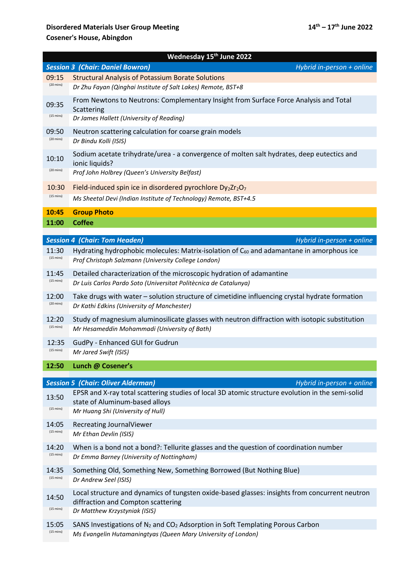## **Disordered Materials User Group Meeting 14<sup>th</sup> – 17<sup>th</sup> June 2022 Cosener's House, Abingdon**

| Wednesday 15 <sup>th</sup> June 2022                                 |                                                                                                                                                                                                              |  |  |  |  |  |
|----------------------------------------------------------------------|--------------------------------------------------------------------------------------------------------------------------------------------------------------------------------------------------------------|--|--|--|--|--|
| <b>Session 3 (Chair: Daniel Bowron)</b><br>Hybrid in-person + online |                                                                                                                                                                                                              |  |  |  |  |  |
| 09:15                                                                | <b>Structural Analysis of Potassium Borate Solutions</b>                                                                                                                                                     |  |  |  |  |  |
| $(20 \text{ mins})$                                                  | Dr Zhu Fayan (Qinghai Institute of Salt Lakes) Remote, BST+8                                                                                                                                                 |  |  |  |  |  |
| 09:35                                                                | From Newtons to Neutrons: Complementary Insight from Surface Force Analysis and Total<br>Scattering                                                                                                          |  |  |  |  |  |
| $(15 \text{ mins})$                                                  | Dr James Hallett (University of Reading)                                                                                                                                                                     |  |  |  |  |  |
| 09:50                                                                | Neutron scattering calculation for coarse grain models                                                                                                                                                       |  |  |  |  |  |
| $(20 \text{ mins})$                                                  | Dr Bindu Kolli (ISIS)                                                                                                                                                                                        |  |  |  |  |  |
| 10:10<br>$(20 \text{ mins})$                                         | Sodium acetate trihydrate/urea - a convergence of molten salt hydrates, deep eutectics and<br>ionic liquids?<br>Prof John Holbrey (Queen's University Belfast)                                               |  |  |  |  |  |
| 10:30                                                                | Field-induced spin ice in disordered pyrochlore $Dy_2Zr_2O_7$                                                                                                                                                |  |  |  |  |  |
| $(15 \text{ mins})$                                                  | Ms Sheetal Devi (Indian Institute of Technology) Remote, BST+4.5                                                                                                                                             |  |  |  |  |  |
| 10:45                                                                | <b>Group Photo</b>                                                                                                                                                                                           |  |  |  |  |  |
| 11:00                                                                | <b>Coffee</b>                                                                                                                                                                                                |  |  |  |  |  |
|                                                                      | <b>Session 4 (Chair: Tom Headen)</b><br>Hybrid in-person + online                                                                                                                                            |  |  |  |  |  |
| 11:30                                                                | Hydrating hydrophobic molecules: Matrix-isolation of C <sub>60</sub> and adamantane in amorphous ice                                                                                                         |  |  |  |  |  |
| $(15 \text{ mins})$                                                  | Prof Christoph Salzmann (University College London)                                                                                                                                                          |  |  |  |  |  |
| 11:45                                                                | Detailed characterization of the microscopic hydration of adamantine                                                                                                                                         |  |  |  |  |  |
| $(15 \text{ mins})$                                                  | Dr Luis Carlos Pardo Soto (Universitat Politècnica de Catalunya)                                                                                                                                             |  |  |  |  |  |
| 12:00                                                                | Take drugs with water – solution structure of cimetidine influencing crystal hydrate formation                                                                                                               |  |  |  |  |  |
| $(20 \text{ mins})$                                                  | Dr Kathi Edkins (University of Manchester)                                                                                                                                                                   |  |  |  |  |  |
| 12:20                                                                | Study of magnesium aluminosilicate glasses with neutron diffraction with isotopic substitution                                                                                                               |  |  |  |  |  |
| $(15 \text{ mins})$                                                  | Mr Hesameddin Mohammadi (University of Bath)                                                                                                                                                                 |  |  |  |  |  |
| 12:35                                                                | GudPy - Enhanced GUI for Gudrun                                                                                                                                                                              |  |  |  |  |  |
| $(15 \text{ mins})$                                                  | Mr Jared Swift (ISIS)                                                                                                                                                                                        |  |  |  |  |  |
| 12:50                                                                | Lunch @ Cosener's                                                                                                                                                                                            |  |  |  |  |  |
|                                                                      |                                                                                                                                                                                                              |  |  |  |  |  |
| 13:50<br>$(15 \text{ mins})$                                         | <b>Session 5 (Chair: Oliver Alderman)</b><br>Hybrid in-person + online<br>EPSR and X-ray total scattering studies of local 3D atomic structure evolution in the semi-solid<br>state of Aluminum-based alloys |  |  |  |  |  |
|                                                                      | Mr Huang Shi (University of Hull)                                                                                                                                                                            |  |  |  |  |  |
| 14:05                                                                | Recreating JournalViewer                                                                                                                                                                                     |  |  |  |  |  |
| $(15 \text{ mins})$                                                  | Mr Ethan Devlin (ISIS)                                                                                                                                                                                       |  |  |  |  |  |
| 14:20                                                                | When is a bond not a bond?: Tellurite glasses and the question of coordination number                                                                                                                        |  |  |  |  |  |
| $(15 \text{ mins})$                                                  | Dr Emma Barney (University of Nottingham)                                                                                                                                                                    |  |  |  |  |  |
| 14:35                                                                | Something Old, Something New, Something Borrowed (But Nothing Blue)                                                                                                                                          |  |  |  |  |  |
| $(15 \text{ mins})$                                                  | Dr Andrew Seel (ISIS)                                                                                                                                                                                        |  |  |  |  |  |
| 14:50<br>$(15 \text{ mins})$                                         | Local structure and dynamics of tungsten oxide-based glasses: insights from concurrent neutron<br>diffraction and Compton scattering<br>Dr Matthew Krzystyniak (ISIS)                                        |  |  |  |  |  |
| 15:05                                                                | SANS Investigations of $N_2$ and $CO_2$ Adsorption in Soft Templating Porous Carbon                                                                                                                          |  |  |  |  |  |
| $(15 \text{ mins})$                                                  | Ms Evangelin Hutamaningtyas (Queen Mary University of London)                                                                                                                                                |  |  |  |  |  |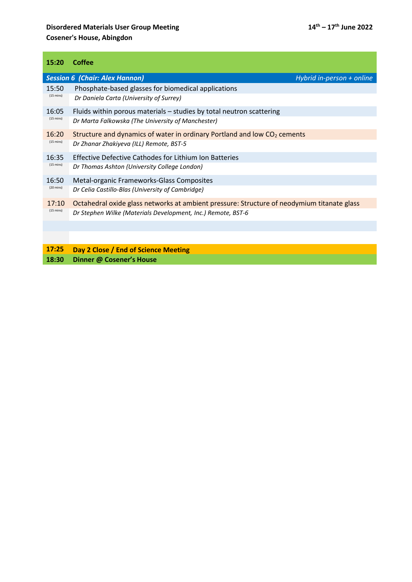## **Disordered Materials User Group Meeting 14<sup>th</sup> – 17<sup>th</sup> June 2022 Cosener's House, Abingdon**

| 15:20               | Coffee                                                                                     |  |  |
|---------------------|--------------------------------------------------------------------------------------------|--|--|
|                     | <b>Session 6 (Chair: Alex Hannon)</b><br>Hybrid in-person + online                         |  |  |
| 15:50               | Phosphate-based glasses for biomedical applications                                        |  |  |
| $(15 \text{ mins})$ | Dr Daniela Carta (University of Surrey)                                                    |  |  |
| 16:05               | Fluids within porous materials - studies by total neutron scattering                       |  |  |
| $(15 \text{ mins})$ | Dr Marta Falkowska (The University of Manchester)                                          |  |  |
| 16:20               | Structure and dynamics of water in ordinary Portland and low CO <sub>2</sub> cements       |  |  |
| $(15 \text{ mins})$ | Dr Zhanar Zhakiyeva (ILL) Remote, BST-5                                                    |  |  |
| 16:35               | <b>Effective Defective Cathodes for Lithium Ion Batteries</b>                              |  |  |
| $(15 \text{ mins})$ | Dr Thomas Ashton (University College London)                                               |  |  |
| 16:50               | Metal-organic Frameworks-Glass Composites                                                  |  |  |
| $(20 \text{ mins})$ | Dr Celia Castillo-Blas (University of Cambridge)                                           |  |  |
| 17:10               | Octahedral oxide glass networks at ambient pressure: Structure of neodymium titanate glass |  |  |
| $(15 \text{ mins})$ | Dr Stephen Wilke (Materials Development, Inc.) Remote, BST-6                               |  |  |
|                     |                                                                                            |  |  |
|                     |                                                                                            |  |  |
| 17:25               | Day 2 Close / End of Science Meeting                                                       |  |  |
| 18:30               | Dinner @ Cosener's House                                                                   |  |  |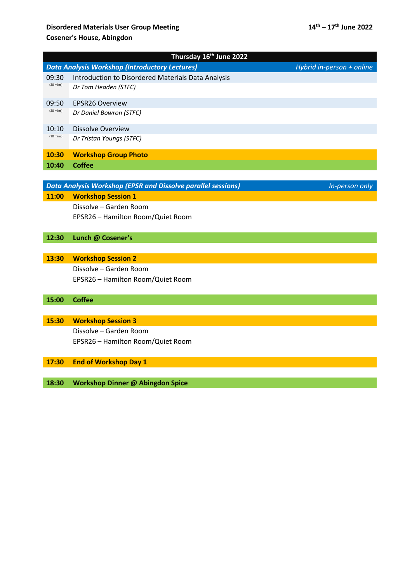## **Disordered Materials User Group Meeting 14<sup>th</sup> – 17<sup>th</sup> June 2022 Cosener's House, Abingdon**

| Thursday 16th June 2022 |                                                                     |                           |  |  |  |
|-------------------------|---------------------------------------------------------------------|---------------------------|--|--|--|
|                         | <b>Data Analysis Workshop (Introductory Lectures)</b>               | Hybrid in-person + online |  |  |  |
| 09:30                   | Introduction to Disordered Materials Data Analysis                  |                           |  |  |  |
| $(20 \text{ mins})$     | Dr Tom Headen (STFC)                                                |                           |  |  |  |
| 09:50                   | <b>EPSR26 Overview</b>                                              |                           |  |  |  |
| $(20 \text{ mins})$     | Dr Daniel Bowron (STFC)                                             |                           |  |  |  |
| 10:10                   | <b>Dissolve Overview</b>                                            |                           |  |  |  |
| $(20 \text{ mins})$     | Dr Tristan Youngs (STFC)                                            |                           |  |  |  |
| 10:30                   | <b>Workshop Group Photo</b>                                         |                           |  |  |  |
| 10:40                   | <b>Coffee</b>                                                       |                           |  |  |  |
|                         |                                                                     |                           |  |  |  |
|                         | <b>Data Analysis Workshop (EPSR and Dissolve parallel sessions)</b> | In-person only            |  |  |  |
| 11:00                   | <b>Workshop Session 1</b>                                           |                           |  |  |  |
|                         | Dissolve - Garden Room                                              |                           |  |  |  |
|                         | EPSR26 - Hamilton Room/Quiet Room                                   |                           |  |  |  |
| 12:30                   | Lunch @ Cosener's                                                   |                           |  |  |  |
|                         |                                                                     |                           |  |  |  |
| 13:30                   | <b>Workshop Session 2</b>                                           |                           |  |  |  |
|                         | Dissolve - Garden Room                                              |                           |  |  |  |
|                         | EPSR26 - Hamilton Room/Quiet Room                                   |                           |  |  |  |
|                         |                                                                     |                           |  |  |  |
| 15:00                   | <b>Coffee</b>                                                       |                           |  |  |  |
|                         |                                                                     |                           |  |  |  |
| 15:30                   | <b>Workshop Session 3</b>                                           |                           |  |  |  |
|                         | Dissolve - Garden Room                                              |                           |  |  |  |
|                         | EPSR26 - Hamilton Room/Quiet Room                                   |                           |  |  |  |
|                         |                                                                     |                           |  |  |  |
| 17:30                   | <b>End of Workshop Day 1</b>                                        |                           |  |  |  |
|                         |                                                                     |                           |  |  |  |
| 18:30                   | <b>Workshop Dinner @ Abingdon Spice</b>                             |                           |  |  |  |